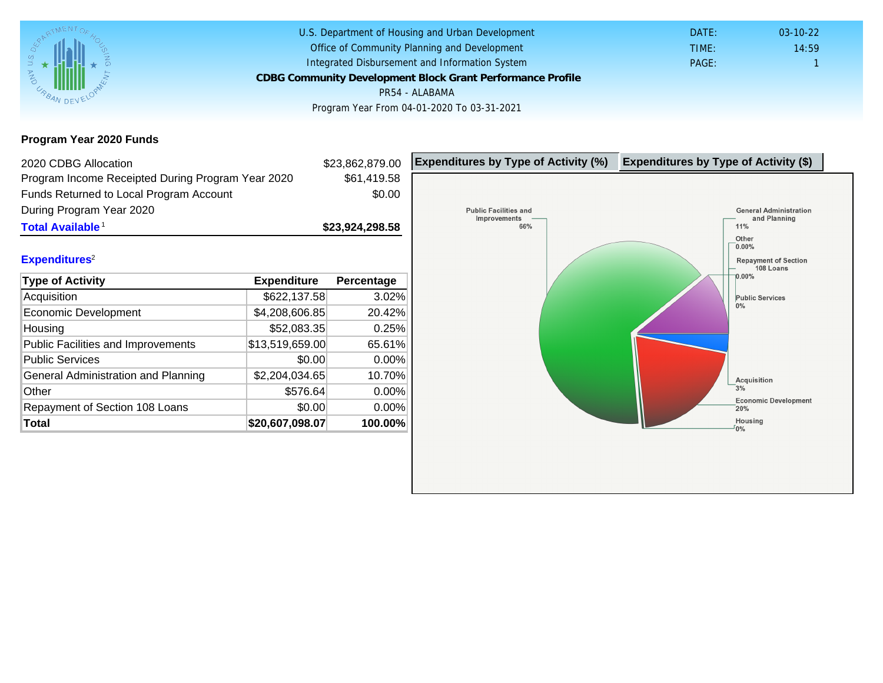Program Year 2020 Funds

| 2020 CDBG Allocation                              |                 | \$23,862,879.00 | Expenditures by Type of Activity (%) | Expenditure |
|---------------------------------------------------|-----------------|-----------------|--------------------------------------|-------------|
| Program Income Receipted During Program Year 2020 |                 | \$61,419.58     |                                      |             |
| Funds Returned to Local Program Account           |                 | \$0.00          |                                      |             |
| During Program Year 2020                          |                 |                 |                                      |             |
| Total Available <sup>1</sup>                      |                 | \$23,924,298.58 |                                      |             |
|                                                   |                 |                 |                                      |             |
| Expenditures <sup>2</sup>                         |                 |                 |                                      |             |
| Type of Activity                                  | Expenditure     | Percentage      |                                      |             |
| Acquisition                                       | \$622,137.58    | 3.02%           |                                      |             |
| Economic Development                              | \$4,208,606.85  | 20.42%          |                                      |             |
| Housing                                           | \$52,083.35     | 0.25%           |                                      |             |
| <b>Public Facilities and Improvements</b>         | \$13,519,659.00 | 65.61%          |                                      |             |
| <b>Public Services</b>                            | \$0.00          | 0.00%           |                                      |             |
| General Administration and Planning               | \$2,204,034.65  | 10.70%          |                                      |             |
| Other                                             | \$576.64        | 0.00%           |                                      |             |
| Repayment of Section 108 Loans                    | \$0.00          | 0.00%           |                                      |             |
| Total                                             | \$20,607,098.07 | 100.00%         |                                      |             |
|                                                   |                 |                 |                                      |             |
|                                                   |                 |                 |                                      |             |
|                                                   |                 |                 |                                      |             |
|                                                   |                 |                 |                                      |             |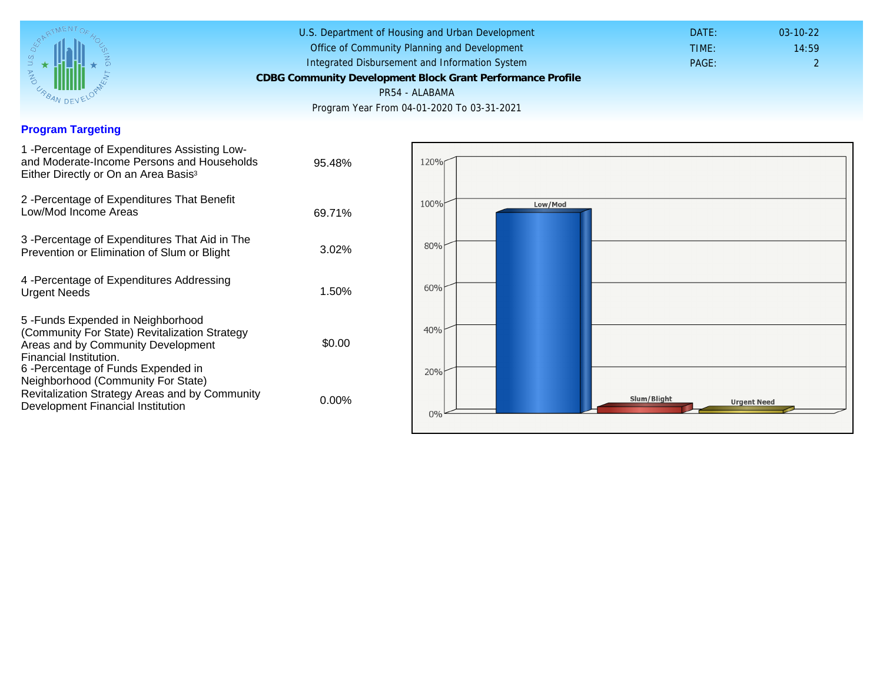### Program Targeting

| 1 -Percentage of Expenditures Assisting Low-<br>and Moderate-Income Persons and Households<br>Either Directly or On an Area Basis <sup>3</sup>                                                                                 | 95.48%   |
|--------------------------------------------------------------------------------------------------------------------------------------------------------------------------------------------------------------------------------|----------|
| 2 - Percentage of Expenditures That Benefit<br>Low/Mod Income Areas                                                                                                                                                            | 69.71%   |
| 3 -Percentage of Expenditures That Aid in The<br>Prevention or Elimination of Slum or Blight                                                                                                                                   | $3.02\%$ |
| 4 - Percentage of Expenditures Addressing<br><b>Urgent Needs</b>                                                                                                                                                               | 1.50%    |
| 5 - Funds Expended in Neighborhood<br>(Community For State) Revitalization Strategy<br>Areas and by Community Development<br>Financial Institution.<br>6-Percentage of Funds Expended in<br>Neighborhood (Community For State) | \$0.00   |
| Revitalization Strategy Areas and by Community<br>Development Financial Institution                                                                                                                                            | $0.00\%$ |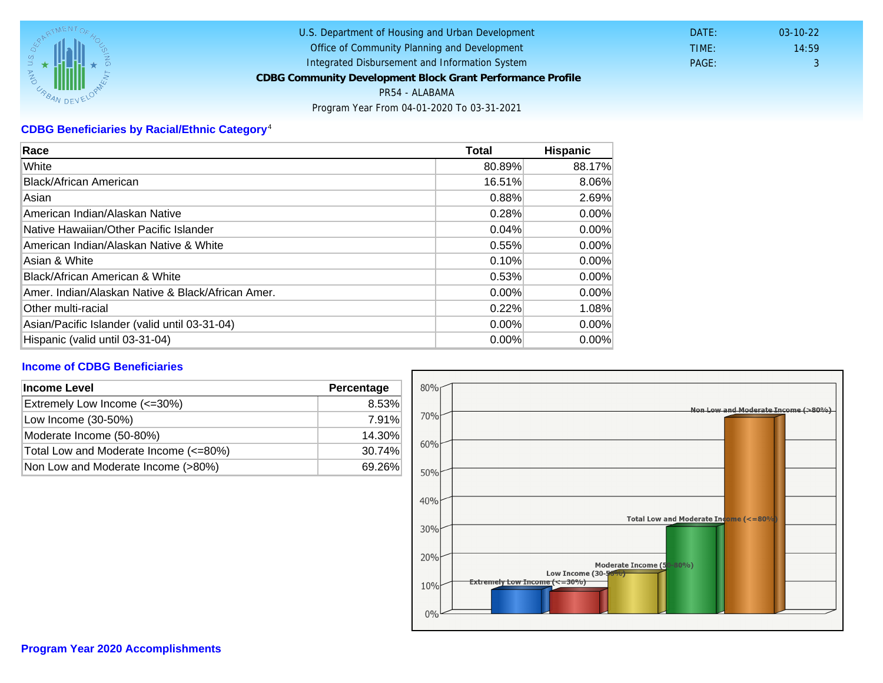# CDBG Beneficiaries by Racial/Ethnic Category <sup>4</sup>

| Race                                              | Total    | Hispanic |
|---------------------------------------------------|----------|----------|
| White                                             | 80.89%   | 88.17%   |
| Black/African American                            | 16.51%   | 8.06%    |
| Asian                                             | 0.88%    | 2.69%    |
| IAmerican Indian/Alaskan Native                   | 0.28%    | $0.00\%$ |
| lNative Hawaiian/Other Pacific Islander           | 0.04%    | $0.00\%$ |
| American Indian/Alaskan Native & White            | 0.55%    | $0.00\%$ |
| Asian & White                                     | 0.10%    | $0.00\%$ |
| Black/African American & White                    | 0.53%    | 0.00%    |
| Amer. Indian/Alaskan Native & Black/African Amer. | $0.00\%$ | $0.00\%$ |
| <b>Other multi-racial</b>                         | 0.22%    | 1.08%    |
| Asian/Pacific Islander (valid until 03-31-04)     | 0.00%    | 0.00%    |
| Hispanic (valid until 03-31-04)                   | $0.00\%$ | $0.00\%$ |

## Income of CDBG Beneficiaries

| Income Level<br>Percentage            |        |
|---------------------------------------|--------|
| Extremely Low Income (<=30%)          | 8.53%  |
| Low Income (30-50%)                   | 7.91%  |
| Moderate Income (50-80%)              | 14.30% |
| Total Low and Moderate Income (<=80%) | 30.74% |
| Non Low and Moderate Income (>80%)    | 69.26% |